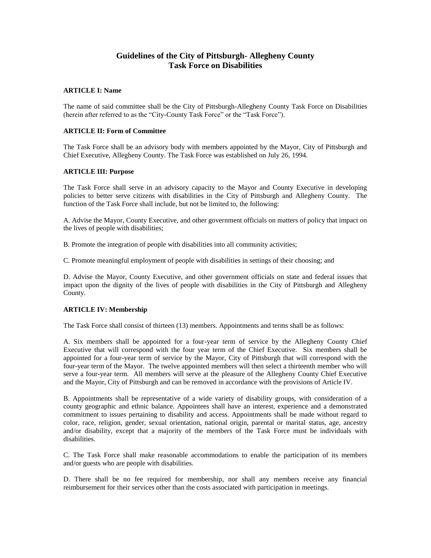# **Guidelines of the City of Pittsburgh- Allegheny County Task Force on Disabilities**

## **ARTICLE I: Name**

The name of said committee shall be the City of Pittsburgh-Allegheny County Task Force on Disabilities (herein after referred to as the "City-County Task Force" or the "Task Force").

### **ARTICLE II: Form of Committee**

The Task Force shall be an advisory body with members appointed by the Mayor, City of Pittsburgh and Chief Executive, Allegheny County. The Task Force was established on July 26, 1994.

### **ARTICLE III: Purpose**

The Task Force shall serve in an advisory capacity to the Mayor and County Executive in developing policies to better serve citizens with disabilities in the City of Pittsburgh and Allegheny County. The function of the Task Force shall include, but not be limited to, the following:

A. Advise the Mayor, County Executive, and other government officials on matters of policy that impact on the lives of people with disabilities;

B. Promote the integration of people with disabilities into all community activities;

C. Promote meaningful employment of people with disabilities in settings of their choosing; and

D. Advise the Mayor, County Executive, and other government officials on state and federal issues that impact upon the dignity of the lives of people with disabilities in the City of Pittsburgh and Allegheny County.

## **ARTICLE IV: Membership**

The Task Force shall consist of thirteen (13) members. Appointments and terms shall be as follows:

A. Six members shall be appointed for a four-year term of service by the Allegheny County Chief Executive that will correspond with the four year term of the Chief Executive. Six members shall be appointed for a four-year term of service by the Mayor, City of Pittsburgh that will correspond with the four-year term of the Mayor. The twelve appointed members will then select a thirteenth member who will serve a four-year term. All members will serve at the pleasure of the Allegheny County Chief Executive and the Mayor, City of Pittsburgh and can be removed in accordance with the provisions of Article IV.

B. Appointments shall be representative of a wide variety of disability groups, with consideration of a county geographic and ethnic balance. Appointees shall have an interest, experience and a demonstrated commitment to issues pertaining to disability and access. Appointments shall be made without regard to color, race, religion, gender, sexual orientation, national origin, parental or marital status, age, ancestry and/or disability, except that a majority of the members of the Task Force must be individuals with disabilities.

C. The Task Force shall make reasonable accommodations to enable the participation of its members and/or guests who are people with disabilities.

D. There shall be no fee required for membership, nor shall any members receive any financial reimbursement for their services other than the costs associated with participation in meetings.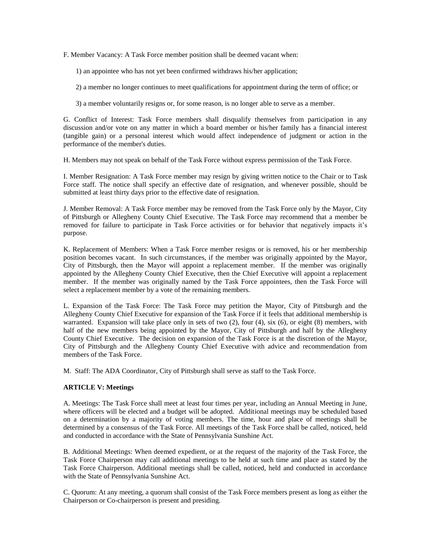F. Member Vacancy: A Task Force member position shall be deemed vacant when:

1) an appointee who has not yet been confirmed withdraws his/her application;

2) a member no longer continues to meet qualifications for appointment during the term of office; or

3) a member voluntarily resigns or, for some reason, is no longer able to serve as a member.

G. Conflict of Interest: Task Force members shall disqualify themselves from participation in any discussion and/or vote on any matter in which a board member or his/her family has a financial interest (tangible gain) or a personal interest which would affect independence of judgment or action in the performance of the member's duties.

H. Members may not speak on behalf of the Task Force without express permission of the Task Force.

I. Member Resignation: A Task Force member may resign by giving written notice to the Chair or to Task Force staff. The notice shall specify an effective date of resignation, and whenever possible, should be submitted at least thirty days prior to the effective date of resignation.

J. Member Removal: A Task Force member may be removed from the Task Force only by the Mayor, City of Pittsburgh or Allegheny County Chief Executive. The Task Force may recommend that a member be removed for failure to participate in Task Force activities or for behavior that negatively impacts it's purpose.

K. Replacement of Members: When a Task Force member resigns or is removed, his or her membership position becomes vacant. In such circumstances, if the member was originally appointed by the Mayor, City of Pittsburgh, then the Mayor will appoint a replacement member. If the member was originally appointed by the Allegheny County Chief Executive, then the Chief Executive will appoint a replacement member. If the member was originally named by the Task Force appointees, then the Task Force will select a replacement member by a vote of the remaining members.

L. Expansion of the Task Force: The Task Force may petition the Mayor, City of Pittsburgh and the Allegheny County Chief Executive for expansion of the Task Force if it feels that additional membership is warranted. Expansion will take place only in sets of two (2), four (4), six (6), or eight (8) members, with half of the new members being appointed by the Mayor, City of Pittsburgh and half by the Allegheny County Chief Executive. The decision on expansion of the Task Force is at the discretion of the Mayor, City of Pittsburgh and the Allegheny County Chief Executive with advice and recommendation from members of the Task Force.

M. Staff: The ADA Coordinator, City of Pittsburgh shall serve as staff to the Task Force.

## **ARTICLE V: Meetings**

A. Meetings: The Task Force shall meet at least four times per year, including an Annual Meeting in June, where officers will be elected and a budget will be adopted. Additional meetings may be scheduled based on a determination by a majority of voting members. The time, hour and place of meetings shall be determined by a consensus of the Task Force. All meetings of the Task Force shall be called, noticed, held and conducted in accordance with the State of Pennsylvania Sunshine Act.

B. Additional Meetings: When deemed expedient, or at the request of the majority of the Task Force, the Task Force Chairperson may call additional meetings to be held at such time and place as stated by the Task Force Chairperson. Additional meetings shall be called, noticed, held and conducted in accordance with the State of Pennsylvania Sunshine Act.

C. Quorum: At any meeting, a quorum shall consist of the Task Force members present as long as either the Chairperson or Co-chairperson is present and presiding.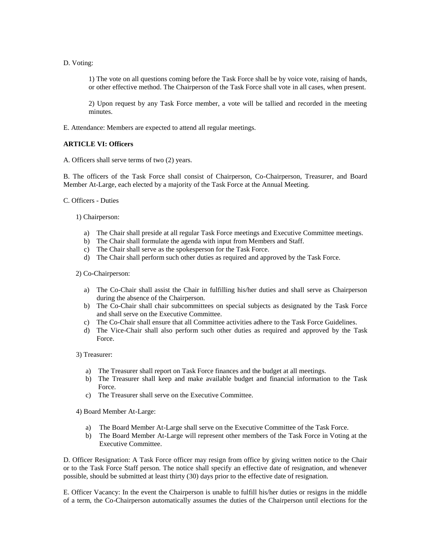D. Voting:

1) The vote on all questions coming before the Task Force shall be by voice vote, raising of hands, or other effective method. The Chairperson of the Task Force shall vote in all cases, when present.

2) Upon request by any Task Force member, a vote will be tallied and recorded in the meeting minutes.

E. Attendance: Members are expected to attend all regular meetings.

#### **ARTICLE VI: Officers**

A. Officers shall serve terms of two (2) years.

B. The officers of the Task Force shall consist of Chairperson, Co-Chairperson, Treasurer, and Board Member At-Large, each elected by a majority of the Task Force at the Annual Meeting.

C. Officers - Duties

1) Chairperson:

- a) The Chair shall preside at all regular Task Force meetings and Executive Committee meetings.
- b) The Chair shall formulate the agenda with input from Members and Staff.
- c) The Chair shall serve as the spokesperson for the Task Force.
- d) The Chair shall perform such other duties as required and approved by the Task Force.

#### 2) Co-Chairperson:

- a) The Co-Chair shall assist the Chair in fulfilling his/her duties and shall serve as Chairperson during the absence of the Chairperson.
- b) The Co-Chair shall chair subcommittees on special subjects as designated by the Task Force and shall serve on the Executive Committee.
- c) The Co-Chair shall ensure that all Committee activities adhere to the Task Force Guidelines.
- d) The Vice-Chair shall also perform such other duties as required and approved by the Task Force.

3) Treasurer:

- a) The Treasurer shall report on Task Force finances and the budget at all meetings.
- b) The Treasurer shall keep and make available budget and financial information to the Task Force.
- c) The Treasurer shall serve on the Executive Committee.

4) Board Member At-Large:

- a) The Board Member At-Large shall serve on the Executive Committee of the Task Force.
- b) The Board Member At-Large will represent other members of the Task Force in Voting at the Executive Committee.

D. Officer Resignation: A Task Force officer may resign from office by giving written notice to the Chair or to the Task Force Staff person. The notice shall specify an effective date of resignation, and whenever possible, should be submitted at least thirty (30) days prior to the effective date of resignation.

E. Officer Vacancy: In the event the Chairperson is unable to fulfill his/her duties or resigns in the middle of a term, the Co-Chairperson automatically assumes the duties of the Chairperson until elections for the